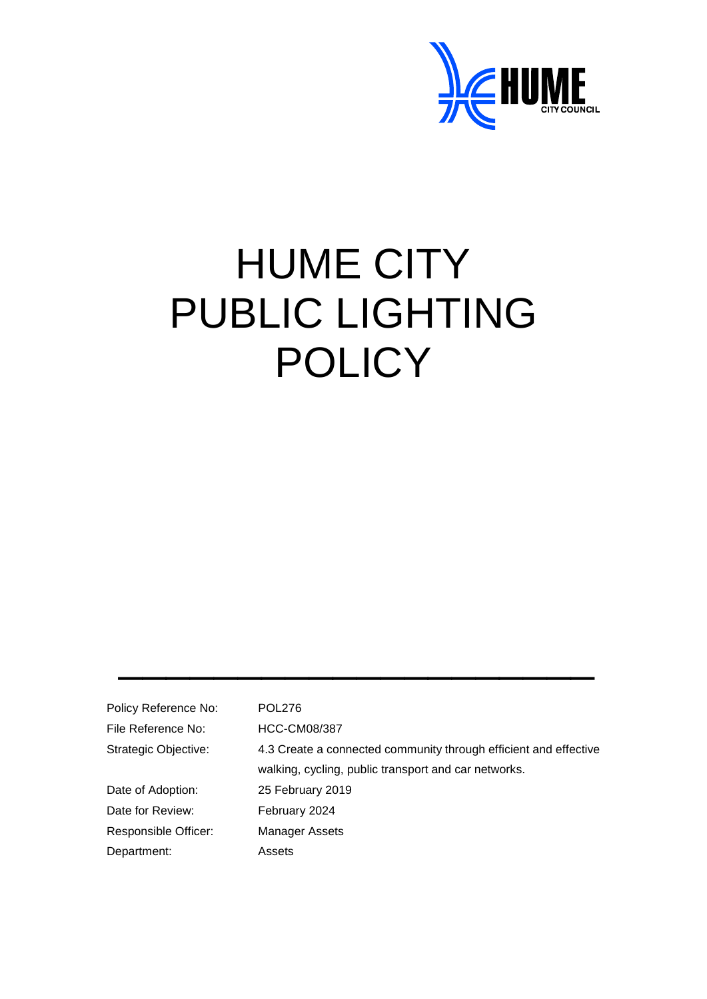

# HUME CITY PUBLIC LIGHTING **POLICY**

| Policy Reference No: | <b>POL276</b>                                                    |
|----------------------|------------------------------------------------------------------|
| File Reference No:   | <b>HCC-CM08/387</b>                                              |
| Strategic Objective: | 4.3 Create a connected community through efficient and effective |
|                      | walking, cycling, public transport and car networks.             |
| Date of Adoption:    | 25 February 2019                                                 |
| Date for Review:     | February 2024                                                    |
| Responsible Officer: | Manager Assets                                                   |
| Department:          | Assets                                                           |

\_\_\_\_\_\_\_\_\_\_\_\_\_\_\_\_\_\_\_\_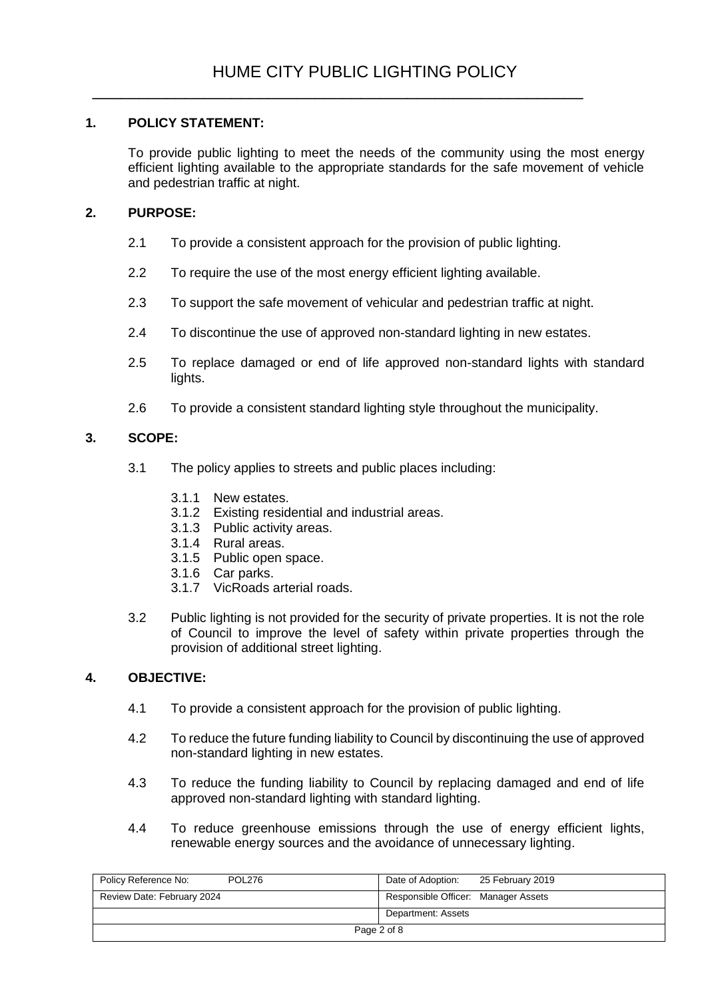## **1. POLICY STATEMENT:**

To provide public lighting to meet the needs of the community using the most energy efficient lighting available to the appropriate standards for the safe movement of vehicle and pedestrian traffic at night.

#### **2. PURPOSE:**

- 2.1 To provide a consistent approach for the provision of public lighting.
- 2.2 To require the use of the most energy efficient lighting available.
- 2.3 To support the safe movement of vehicular and pedestrian traffic at night.
- 2.4 To discontinue the use of approved non-standard lighting in new estates.
- 2.5 To replace damaged or end of life approved non-standard lights with standard lights.
- 2.6 To provide a consistent standard lighting style throughout the municipality.

#### **3. SCOPE:**

- 3.1 The policy applies to streets and public places including:
	- 3.1.1 New estates.
	- 3.1.2 Existing residential and industrial areas.
	- 3.1.3 Public activity areas.
	- 3.1.4 Rural areas.
	- 3.1.5 Public open space.
	- 3.1.6 Car parks.
	- 3.1.7 VicRoads arterial roads.
- 3.2 Public lighting is not provided for the security of private properties. It is not the role of Council to improve the level of safety within private properties through the provision of additional street lighting.

#### **4. OBJECTIVE:**

- 4.1 To provide a consistent approach for the provision of public lighting.
- 4.2 To reduce the future funding liability to Council by discontinuing the use of approved non-standard lighting in new estates.
- 4.3 To reduce the funding liability to Council by replacing damaged and end of life approved non-standard lighting with standard lighting.
- 4.4 To reduce greenhouse emissions through the use of energy efficient lights, renewable energy sources and the avoidance of unnecessary lighting.

| Policy Reference No:<br>POL276 | Date of Adoption:<br>25 February 2019 |
|--------------------------------|---------------------------------------|
| Review Date: February 2024     | Responsible Officer: Manager Assets   |
|                                | Department: Assets                    |
| Page 2 of 8                    |                                       |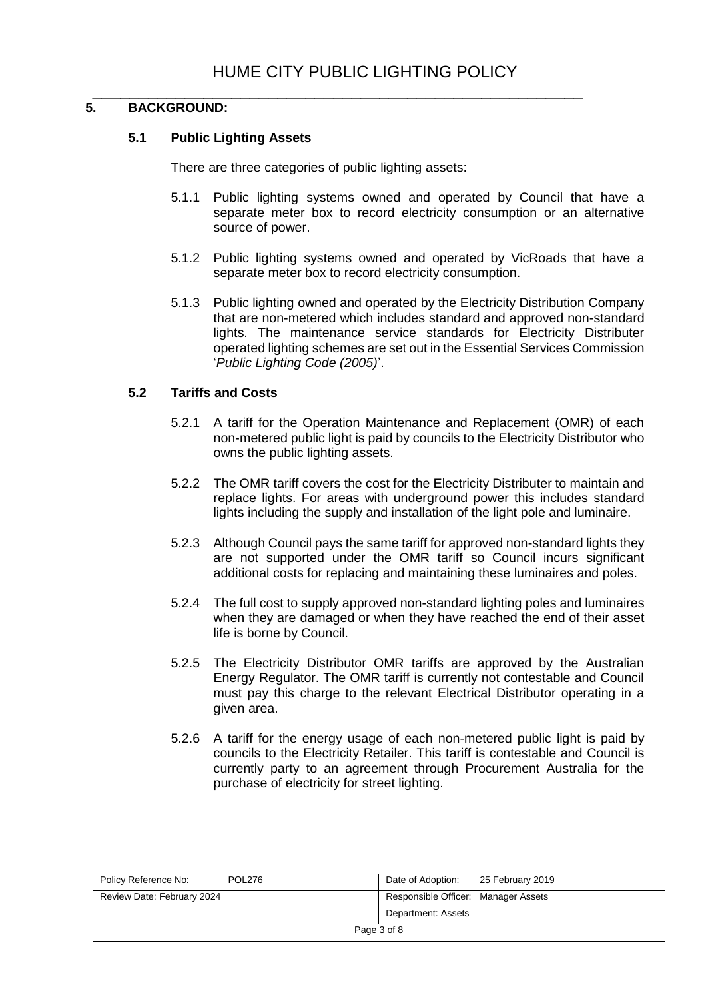#### \_\_\_\_\_\_\_\_\_\_\_\_\_\_\_\_\_\_\_\_\_\_\_\_\_\_\_\_\_\_\_\_\_\_\_\_\_\_\_\_\_\_\_\_\_\_\_\_\_\_\_\_\_ **5. BACKGROUND:**

#### **5.1 Public Lighting Assets**

There are three categories of public lighting assets:

- 5.1.1 Public lighting systems owned and operated by Council that have a separate meter box to record electricity consumption or an alternative source of power.
- 5.1.2 Public lighting systems owned and operated by VicRoads that have a separate meter box to record electricity consumption.
- 5.1.3 Public lighting owned and operated by the Electricity Distribution Company that are non-metered which includes standard and approved non-standard lights. The maintenance service standards for Electricity Distributer operated lighting schemes are set out in the Essential Services Commission '*Public Lighting Code (2005)*'.

#### **5.2 Tariffs and Costs**

- 5.2.1 A tariff for the Operation Maintenance and Replacement (OMR) of each non-metered public light is paid by councils to the Electricity Distributor who owns the public lighting assets.
- 5.2.2 The OMR tariff covers the cost for the Electricity Distributer to maintain and replace lights. For areas with underground power this includes standard lights including the supply and installation of the light pole and luminaire.
- 5.2.3 Although Council pays the same tariff for approved non-standard lights they are not supported under the OMR tariff so Council incurs significant additional costs for replacing and maintaining these luminaires and poles.
- 5.2.4 The full cost to supply approved non-standard lighting poles and luminaires when they are damaged or when they have reached the end of their asset life is borne by Council.
- 5.2.5 The Electricity Distributor OMR tariffs are approved by the Australian Energy Regulator. The OMR tariff is currently not contestable and Council must pay this charge to the relevant Electrical Distributor operating in a given area.
- 5.2.6 A tariff for the energy usage of each non-metered public light is paid by councils to the Electricity Retailer. This tariff is contestable and Council is currently party to an agreement through Procurement Australia for the purchase of electricity for street lighting.

| Policy Reference No:<br><b>POL276</b> | Date of Adoption:<br>25 February 2019 |
|---------------------------------------|---------------------------------------|
| Review Date: February 2024            | Responsible Officer: Manager Assets   |
|                                       | Department: Assets                    |
| Page 3 of 8                           |                                       |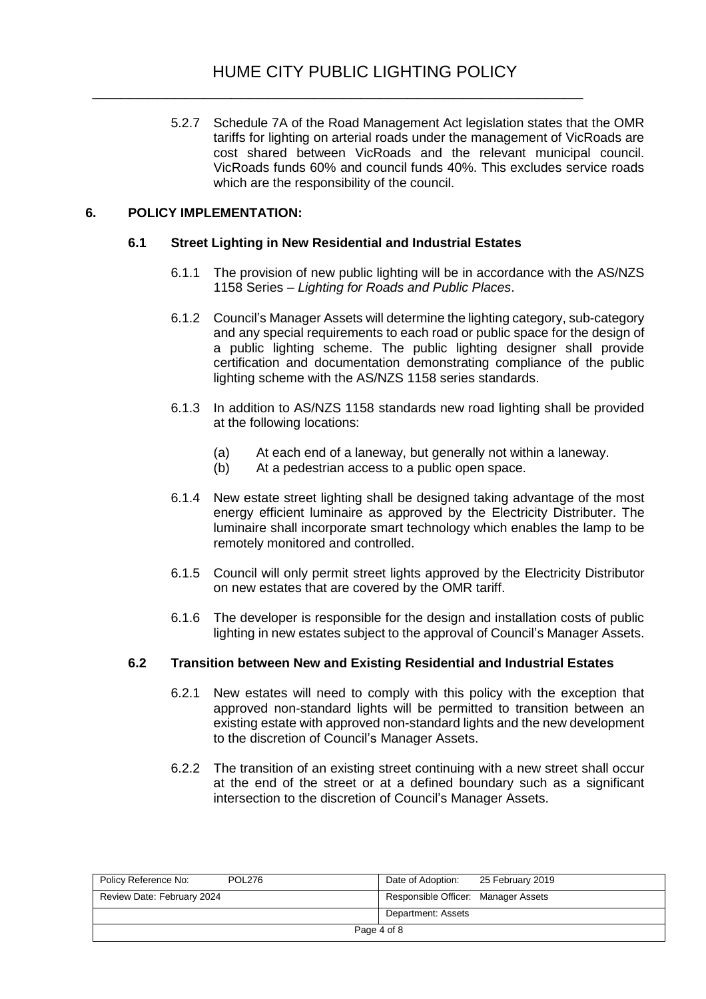5.2.7 Schedule 7A of the Road Management Act legislation states that the OMR tariffs for lighting on arterial roads under the management of VicRoads are cost shared between VicRoads and the relevant municipal council. VicRoads funds 60% and council funds 40%. This excludes service roads which are the responsibility of the council.

#### **6. POLICY IMPLEMENTATION:**

#### **6.1 Street Lighting in New Residential and Industrial Estates**

- 6.1.1 The provision of new public lighting will be in accordance with the AS/NZS 1158 Series – *Lighting for Roads and Public Places*.
- 6.1.2 Council's Manager Assets will determine the lighting category, sub-category and any special requirements to each road or public space for the design of a public lighting scheme. The public lighting designer shall provide certification and documentation demonstrating compliance of the public lighting scheme with the AS/NZS 1158 series standards.
- 6.1.3 In addition to AS/NZS 1158 standards new road lighting shall be provided at the following locations:
	- (a) At each end of a laneway, but generally not within a laneway.
	- (b) At a pedestrian access to a public open space.
- 6.1.4 New estate street lighting shall be designed taking advantage of the most energy efficient luminaire as approved by the Electricity Distributer. The luminaire shall incorporate smart technology which enables the lamp to be remotely monitored and controlled.
- 6.1.5 Council will only permit street lights approved by the Electricity Distributor on new estates that are covered by the OMR tariff.
- 6.1.6 The developer is responsible for the design and installation costs of public lighting in new estates subject to the approval of Council's Manager Assets.

#### **6.2 Transition between New and Existing Residential and Industrial Estates**

- 6.2.1 New estates will need to comply with this policy with the exception that approved non-standard lights will be permitted to transition between an existing estate with approved non-standard lights and the new development to the discretion of Council's Manager Assets.
- 6.2.2 The transition of an existing street continuing with a new street shall occur at the end of the street or at a defined boundary such as a significant intersection to the discretion of Council's Manager Assets.

| Policy Reference No:<br>POL276 | Date of Adoption:<br>25 February 2019 |
|--------------------------------|---------------------------------------|
| Review Date: February 2024     | Responsible Officer: Manager Assets   |
|                                | Department: Assets                    |
| Page 4 of 8                    |                                       |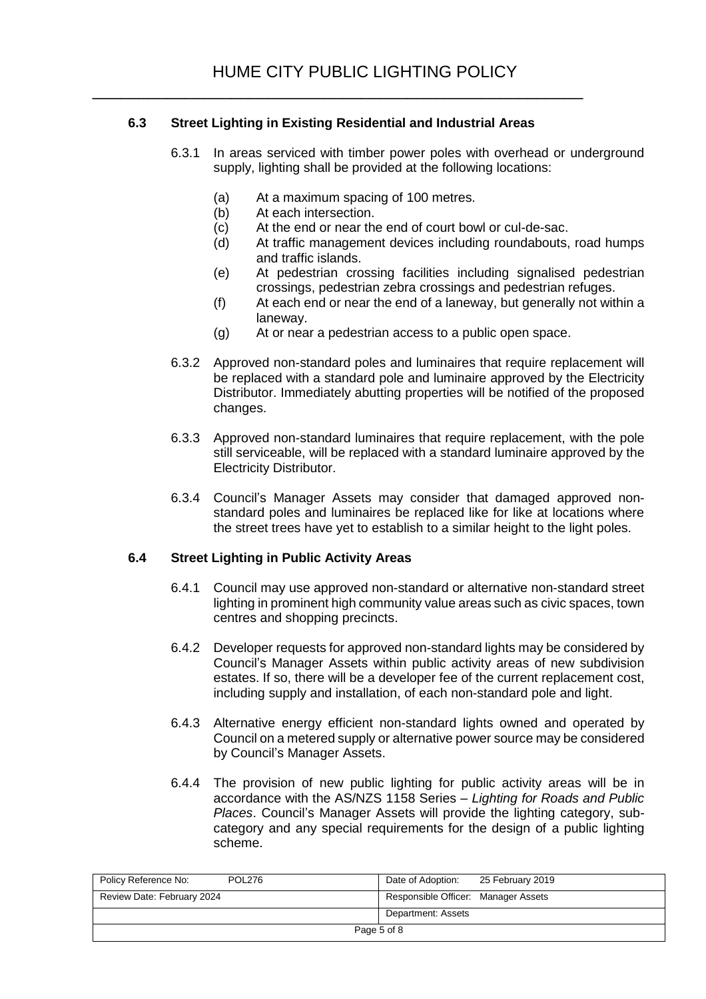## **6.3 Street Lighting in Existing Residential and Industrial Areas**

\_\_\_\_\_\_\_\_\_\_\_\_\_\_\_\_\_\_\_\_\_\_\_\_\_\_\_\_\_\_\_\_\_\_\_\_\_\_\_\_\_\_\_\_\_\_\_\_\_\_\_\_\_

- 6.3.1 In areas serviced with timber power poles with overhead or underground supply, lighting shall be provided at the following locations:
	- (a) At a maximum spacing of 100 metres.
	- (b) At each intersection.<br>(c) At the end or near the
	- At the end or near the end of court bowl or cul-de-sac.
	- (d) At traffic management devices including roundabouts, road humps and traffic islands.
	- (e) At pedestrian crossing facilities including signalised pedestrian crossings, pedestrian zebra crossings and pedestrian refuges.
	- (f) At each end or near the end of a laneway, but generally not within a laneway.
	- (g) At or near a pedestrian access to a public open space.
- 6.3.2 Approved non-standard poles and luminaires that require replacement will be replaced with a standard pole and luminaire approved by the Electricity Distributor. Immediately abutting properties will be notified of the proposed changes.
- 6.3.3 Approved non-standard luminaires that require replacement, with the pole still serviceable, will be replaced with a standard luminaire approved by the Electricity Distributor.
- 6.3.4 Council's Manager Assets may consider that damaged approved nonstandard poles and luminaires be replaced like for like at locations where the street trees have yet to establish to a similar height to the light poles.

#### **6.4 Street Lighting in Public Activity Areas**

- 6.4.1 Council may use approved non-standard or alternative non-standard street lighting in prominent high community value areas such as civic spaces, town centres and shopping precincts.
- 6.4.2 Developer requests for approved non-standard lights may be considered by Council's Manager Assets within public activity areas of new subdivision estates. If so, there will be a developer fee of the current replacement cost, including supply and installation, of each non-standard pole and light.
- 6.4.3 Alternative energy efficient non-standard lights owned and operated by Council on a metered supply or alternative power source may be considered by Council's Manager Assets.
- 6.4.4 The provision of new public lighting for public activity areas will be in accordance with the AS/NZS 1158 Series – *Lighting for Roads and Public Places*. Council's Manager Assets will provide the lighting category, subcategory and any special requirements for the design of a public lighting scheme.

| <b>POL276</b><br>Policy Reference No: | Date of Adoption:<br>25 February 2019 |
|---------------------------------------|---------------------------------------|
| Review Date: February 2024            | Responsible Officer: Manager Assets   |
|                                       | Department: Assets                    |
| Page 5 of 8                           |                                       |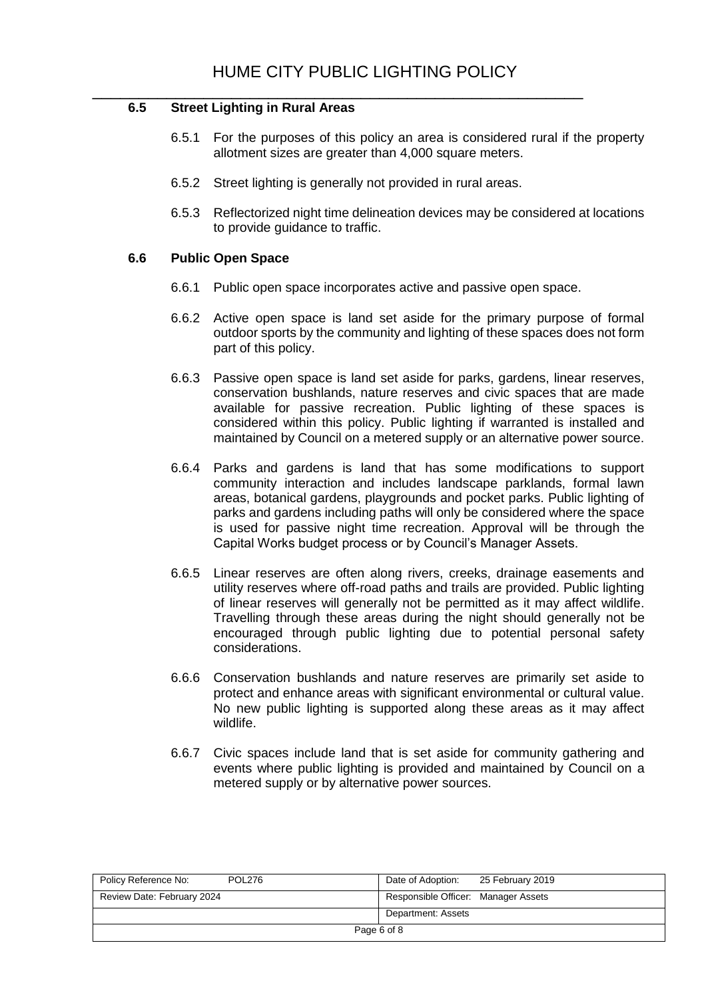#### \_\_\_\_\_\_\_\_\_\_\_\_\_\_\_\_\_\_\_\_\_\_\_\_\_\_\_\_\_\_\_\_\_\_\_\_\_\_\_\_\_\_\_\_\_\_\_\_\_\_\_\_\_ **6.5 Street Lighting in Rural Areas**

- 6.5.1 For the purposes of this policy an area is considered rural if the property allotment sizes are greater than 4,000 square meters.
- 6.5.2 Street lighting is generally not provided in rural areas.
- 6.5.3 Reflectorized night time delineation devices may be considered at locations to provide guidance to traffic.

#### **6.6 Public Open Space**

- 6.6.1 Public open space incorporates active and passive open space.
- 6.6.2 Active open space is land set aside for the primary purpose of formal outdoor sports by the community and lighting of these spaces does not form part of this policy.
- 6.6.3 Passive open space is land set aside for parks, gardens, linear reserves, conservation bushlands, nature reserves and civic spaces that are made available for passive recreation. Public lighting of these spaces is considered within this policy. Public lighting if warranted is installed and maintained by Council on a metered supply or an alternative power source.
- 6.6.4 Parks and gardens is land that has some modifications to support community interaction and includes landscape parklands, formal lawn areas, botanical gardens, playgrounds and pocket parks. Public lighting of parks and gardens including paths will only be considered where the space is used for passive night time recreation. Approval will be through the Capital Works budget process or by Council's Manager Assets.
- 6.6.5 Linear reserves are often along rivers, creeks, drainage easements and utility reserves where off-road paths and trails are provided. Public lighting of linear reserves will generally not be permitted as it may affect wildlife. Travelling through these areas during the night should generally not be encouraged through public lighting due to potential personal safety considerations.
- 6.6.6 Conservation bushlands and nature reserves are primarily set aside to protect and enhance areas with significant environmental or cultural value. No new public lighting is supported along these areas as it may affect wildlife.
- 6.6.7 Civic spaces include land that is set aside for community gathering and events where public lighting is provided and maintained by Council on a metered supply or by alternative power sources.

| Policy Reference No:<br><b>POL276</b> | Date of Adoption:<br>25 February 2019 |  |
|---------------------------------------|---------------------------------------|--|
| Review Date: February 2024            | Responsible Officer: Manager Assets   |  |
|                                       | Department: Assets                    |  |
| Page 6 of 8                           |                                       |  |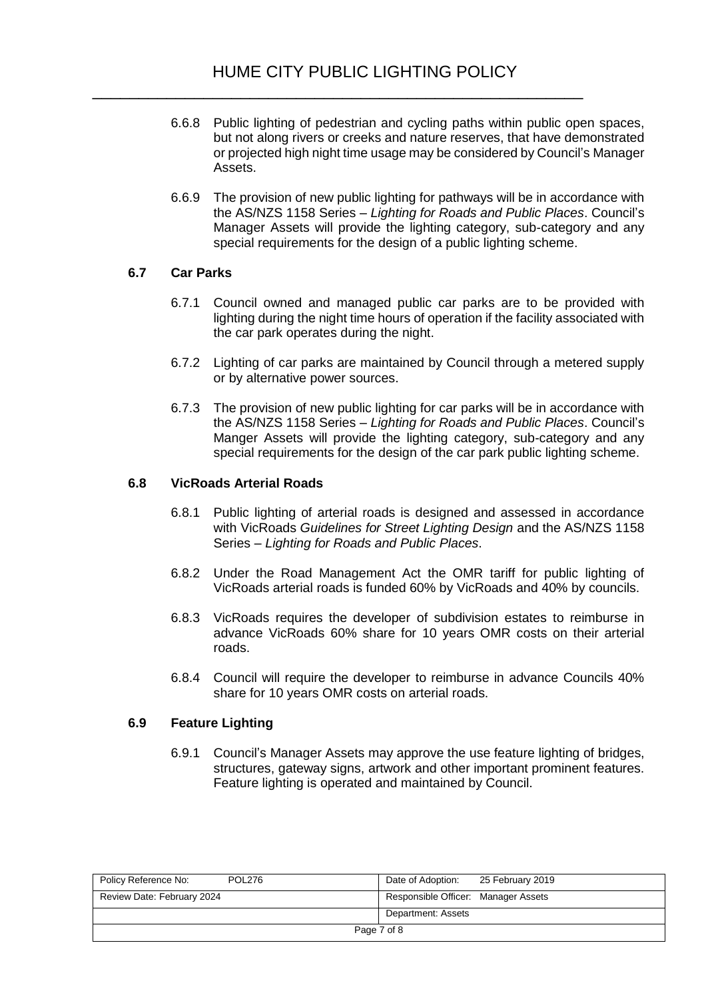- 6.6.8 Public lighting of pedestrian and cycling paths within public open spaces, but not along rivers or creeks and nature reserves, that have demonstrated or projected high night time usage may be considered by Council's Manager Assets.
- 6.6.9 The provision of new public lighting for pathways will be in accordance with the AS/NZS 1158 Series – *Lighting for Roads and Public Places*. Council's Manager Assets will provide the lighting category, sub-category and any special requirements for the design of a public lighting scheme.

## **6.7 Car Parks**

- 6.7.1 Council owned and managed public car parks are to be provided with lighting during the night time hours of operation if the facility associated with the car park operates during the night.
- 6.7.2 Lighting of car parks are maintained by Council through a metered supply or by alternative power sources.
- 6.7.3 The provision of new public lighting for car parks will be in accordance with the AS/NZS 1158 Series – *Lighting for Roads and Public Places*. Council's Manger Assets will provide the lighting category, sub-category and any special requirements for the design of the car park public lighting scheme.

#### **6.8 VicRoads Arterial Roads**

- 6.8.1 Public lighting of arterial roads is designed and assessed in accordance with VicRoads *Guidelines for Street Lighting Design* and the AS/NZS 1158 Series – *Lighting for Roads and Public Places*.
- 6.8.2 Under the Road Management Act the OMR tariff for public lighting of VicRoads arterial roads is funded 60% by VicRoads and 40% by councils.
- 6.8.3 VicRoads requires the developer of subdivision estates to reimburse in advance VicRoads 60% share for 10 years OMR costs on their arterial roads.
- 6.8.4 Council will require the developer to reimburse in advance Councils 40% share for 10 years OMR costs on arterial roads.

#### **6.9 Feature Lighting**

6.9.1 Council's Manager Assets may approve the use feature lighting of bridges, structures, gateway signs, artwork and other important prominent features. Feature lighting is operated and maintained by Council.

| Policy Reference No:<br><b>POL276</b> | Date of Adoption:<br>25 February 2019 |
|---------------------------------------|---------------------------------------|
| Review Date: February 2024            | Responsible Officer: Manager Assets   |
|                                       | Department: Assets                    |
| Page 7 of 8                           |                                       |